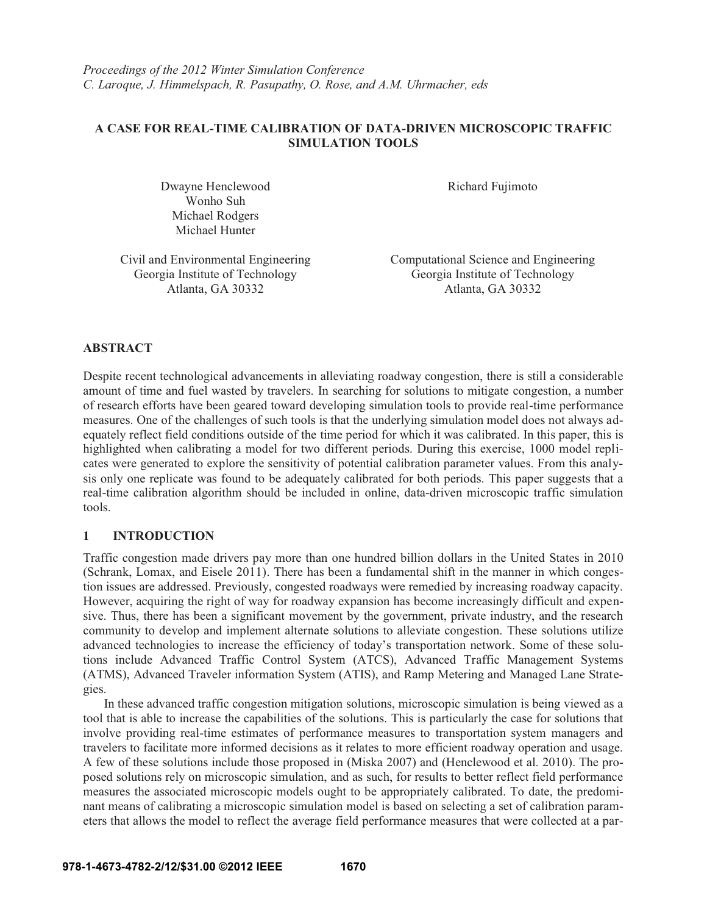# **A CASE FOR REAL-TIME CALIBRATION OF DATA-DRIVEN MICROSCOPIC TRAFFIC SIMULATION TOOLS**

Dwayne Henclewood Wonho Suh Michael Rodgers Michael Hunter

Richard Fujimoto

Civil and Environmental Engineering Computational Science and Engineering Georgia Institute of Technology Georgia Institute of Technology Georgia Institute of Technology

Atlanta, GA 30332 Atlanta, GA 30332

# **ABSTRACT**

Despite recent technological advancements in alleviating roadway congestion, there is still a considerable amount of time and fuel wasted by travelers. In searching for solutions to mitigate congestion, a number of research efforts have been geared toward developing simulation tools to provide real-time performance measures. One of the challenges of such tools is that the underlying simulation model does not always adequately reflect field conditions outside of the time period for which it was calibrated. In this paper, this is highlighted when calibrating a model for two different periods. During this exercise, 1000 model replicates were generated to explore the sensitivity of potential calibration parameter values. From this analysis only one replicate was found to be adequately calibrated for both periods. This paper suggests that a real-time calibration algorithm should be included in online, data-driven microscopic traffic simulation tools.

# **1 INTRODUCTION**

Traffic congestion made drivers pay more than one hundred billion dollars in the United States in 2010 (Schrank, Lomax, and Eisele 2011). There has been a fundamental shift in the manner in which congestion issues are addressed. Previously, congested roadways were remedied by increasing roadway capacity. However, acquiring the right of way for roadway expansion has become increasingly difficult and expensive. Thus, there has been a significant movement by the government, private industry, and the research community to develop and implement alternate solutions to alleviate congestion. These solutions utilize advanced technologies to increase the efficiency of today's transportation network. Some of these solutions include Advanced Traffic Control System (ATCS), Advanced Traffic Management Systems (ATMS), Advanced Traveler information System (ATIS), and Ramp Metering and Managed Lane Strategies.

In these advanced traffic congestion mitigation solutions, microscopic simulation is being viewed as a tool that is able to increase the capabilities of the solutions. This is particularly the case for solutions that involve providing real-time estimates of performance measures to transportation system managers and travelers to facilitate more informed decisions as it relates to more efficient roadway operation and usage. A few of these solutions include those proposed in (Miska 2007) and (Henclewood et al. 2010). The proposed solutions rely on microscopic simulation, and as such, for results to better reflect field performance measures the associated microscopic models ought to be appropriately calibrated. To date, the predominant means of calibrating a microscopic simulation model is based on selecting a set of calibration parameters that allows the model to reflect the average field performance measures that were collected at a par-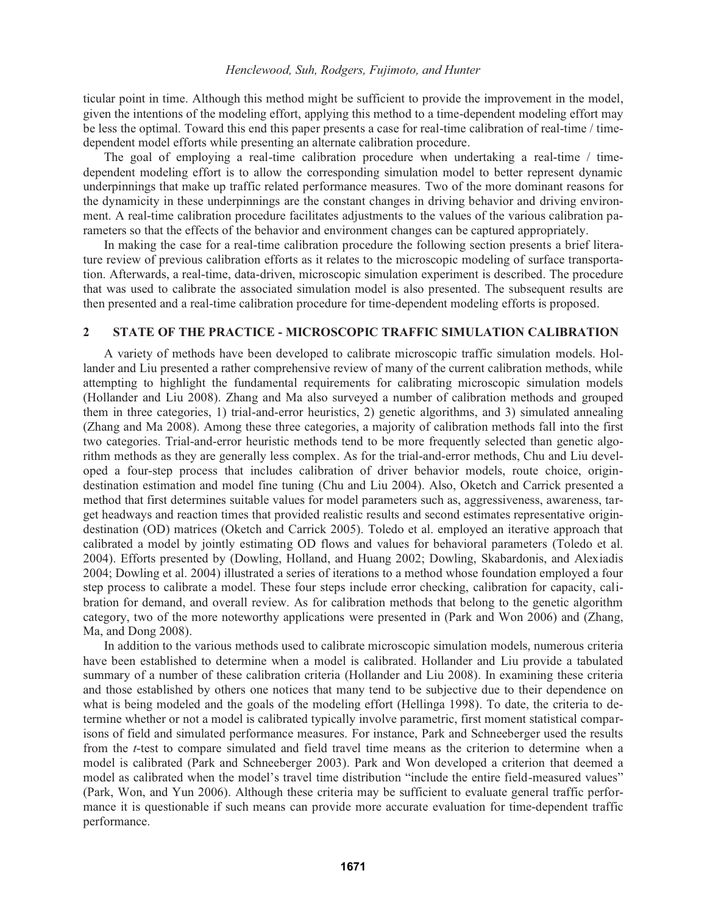# *Henclewood, Suh, Rodgers, Fujimoto, and Hunter*

ticular point in time. Although this method might be sufficient to provide the improvement in the model, given the intentions of the modeling effort, applying this method to a time-dependent modeling effort may be less the optimal. Toward this end this paper presents a case for real-time calibration of real-time / timedependent model efforts while presenting an alternate calibration procedure.

The goal of employing a real-time calibration procedure when undertaking a real-time / timedependent modeling effort is to allow the corresponding simulation model to better represent dynamic underpinnings that make up traffic related performance measures. Two of the more dominant reasons for the dynamicity in these underpinnings are the constant changes in driving behavior and driving environment. A real-time calibration procedure facilitates adjustments to the values of the various calibration parameters so that the effects of the behavior and environment changes can be captured appropriately.

In making the case for a real-time calibration procedure the following section presents a brief literature review of previous calibration efforts as it relates to the microscopic modeling of surface transportation. Afterwards, a real-time, data-driven, microscopic simulation experiment is described. The procedure that was used to calibrate the associated simulation model is also presented. The subsequent results are then presented and a real-time calibration procedure for time-dependent modeling efforts is proposed.

# **2 STATE OF THE PRACTICE - MICROSCOPIC TRAFFIC SIMULATION CALIBRATION**

A variety of methods have been developed to calibrate microscopic traffic simulation models. Hollander and Liu presented a rather comprehensive review of many of the current calibration methods, while attempting to highlight the fundamental requirements for calibrating microscopic simulation models (Hollander and Liu 2008). Zhang and Ma also surveyed a number of calibration methods and grouped them in three categories, 1) trial-and-error heuristics, 2) genetic algorithms, and 3) simulated annealing (Zhang and Ma 2008). Among these three categories, a majority of calibration methods fall into the first two categories. Trial-and-error heuristic methods tend to be more frequently selected than genetic algorithm methods as they are generally less complex. As for the trial-and-error methods, Chu and Liu developed a four-step process that includes calibration of driver behavior models, route choice, origindestination estimation and model fine tuning (Chu and Liu 2004). Also, Oketch and Carrick presented a method that first determines suitable values for model parameters such as, aggressiveness, awareness, target headways and reaction times that provided realistic results and second estimates representative origindestination (OD) matrices (Oketch and Carrick 2005). Toledo et al. employed an iterative approach that calibrated a model by jointly estimating OD flows and values for behavioral parameters (Toledo et al. 2004). Efforts presented by (Dowling, Holland, and Huang 2002; Dowling, Skabardonis, and Alexiadis 2004; Dowling et al. 2004) illustrated a series of iterations to a method whose foundation employed a four step process to calibrate a model. These four steps include error checking, calibration for capacity, calibration for demand, and overall review. As for calibration methods that belong to the genetic algorithm category, two of the more noteworthy applications were presented in (Park and Won 2006) and (Zhang, Ma, and Dong 2008).

In addition to the various methods used to calibrate microscopic simulation models, numerous criteria have been established to determine when a model is calibrated. Hollander and Liu provide a tabulated summary of a number of these calibration criteria (Hollander and Liu 2008). In examining these criteria and those established by others one notices that many tend to be subjective due to their dependence on what is being modeled and the goals of the modeling effort (Hellinga 1998). To date, the criteria to determine whether or not a model is calibrated typically involve parametric, first moment statistical comparisons of field and simulated performance measures. For instance, Park and Schneeberger used the results from the *t*-test to compare simulated and field travel time means as the criterion to determine when a model is calibrated (Park and Schneeberger 2003). Park and Won developed a criterion that deemed a model as calibrated when the model's travel time distribution "include the entire field-measured values" (Park, Won, and Yun 2006). Although these criteria may be sufficient to evaluate general traffic performance it is questionable if such means can provide more accurate evaluation for time-dependent traffic performance.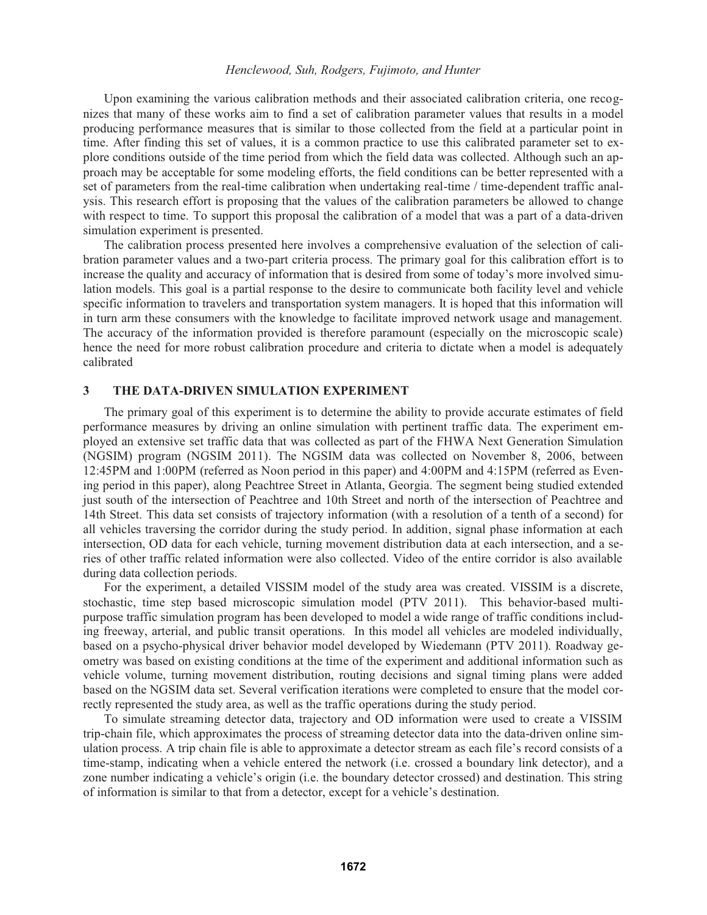# *Henclewood, Suh, Rodgers, Fujimoto, and Hunter*

Upon examining the various calibration methods and their associated calibration criteria, one recognizes that many of these works aim to find a set of calibration parameter values that results in a model producing performance measures that is similar to those collected from the field at a particular point in time. After finding this set of values, it is a common practice to use this calibrated parameter set to explore conditions outside of the time period from which the field data was collected. Although such an approach may be acceptable for some modeling efforts, the field conditions can be better represented with a set of parameters from the real-time calibration when undertaking real-time / time-dependent traffic analysis. This research effort is proposing that the values of the calibration parameters be allowed to change with respect to time. To support this proposal the calibration of a model that was a part of a data-driven simulation experiment is presented.

The calibration process presented here involves a comprehensive evaluation of the selection of calibration parameter values and a two-part criteria process. The primary goal for this calibration effort is to increase the quality and accuracy of information that is desired from some of today's more involved simulation models. This goal is a partial response to the desire to communicate both facility level and vehicle specific information to travelers and transportation system managers. It is hoped that this information will in turn arm these consumers with the knowledge to facilitate improved network usage and management. The accuracy of the information provided is therefore paramount (especially on the microscopic scale) hence the need for more robust calibration procedure and criteria to dictate when a model is adequately calibrated

# **3 THE DATA-DRIVEN SIMULATION EXPERIMENT**

The primary goal of this experiment is to determine the ability to provide accurate estimates of field performance measures by driving an online simulation with pertinent traffic data. The experiment employed an extensive set traffic data that was collected as part of the FHWA Next Generation Simulation (NGSIM) program (NGSIM 2011). The NGSIM data was collected on November 8, 2006, between 12:45PM and 1:00PM (referred as Noon period in this paper) and 4:00PM and 4:15PM (referred as Evening period in this paper), along Peachtree Street in Atlanta, Georgia. The segment being studied extended just south of the intersection of Peachtree and 10th Street and north of the intersection of Peachtree and 14th Street. This data set consists of trajectory information (with a resolution of a tenth of a second) for all vehicles traversing the corridor during the study period. In addition, signal phase information at each intersection, OD data for each vehicle, turning movement distribution data at each intersection, and a series of other traffic related information were also collected. Video of the entire corridor is also available during data collection periods.

For the experiment, a detailed VISSIM model of the study area was created. VISSIM is a discrete, stochastic, time step based microscopic simulation model (PTV 2011). This behavior-based multipurpose traffic simulation program has been developed to model a wide range of traffic conditions including freeway, arterial, and public transit operations. In this model all vehicles are modeled individually, based on a psycho-physical driver behavior model developed by Wiedemann (PTV 2011). Roadway geometry was based on existing conditions at the time of the experiment and additional information such as vehicle volume, turning movement distribution, routing decisions and signal timing plans were added based on the NGSIM data set. Several verification iterations were completed to ensure that the model correctly represented the study area, as well as the traffic operations during the study period.

To simulate streaming detector data, trajectory and OD information were used to create a VISSIM trip-chain file, which approximates the process of streaming detector data into the data-driven online simulation process. A trip chain file is able to approximate a detector stream as each file's record consists of a time-stamp, indicating when a vehicle entered the network (i.e. crossed a boundary link detector), and a zone number indicating a vehicle's origin (i.e. the boundary detector crossed) and destination. This string of information is similar to that from a detector, except for a vehicle's destination.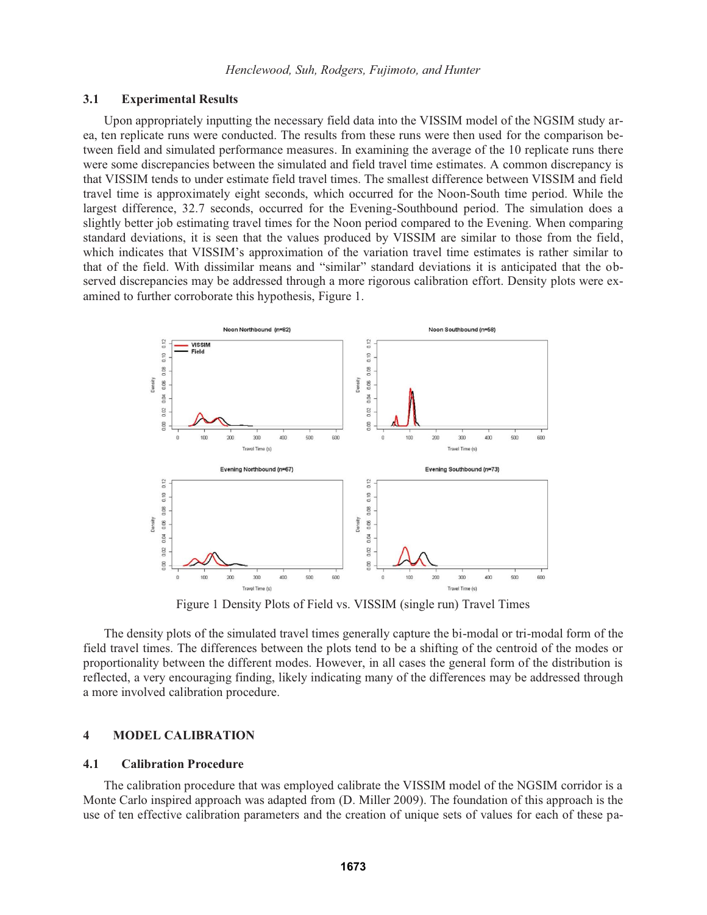# **3.1 Experimental Results**

Upon appropriately inputting the necessary field data into the VISSIM model of the NGSIM study area, ten replicate runs were conducted. The results from these runs were then used for the comparison between field and simulated performance measures. In examining the average of the 10 replicate runs there were some discrepancies between the simulated and field travel time estimates. A common discrepancy is that VISSIM tends to under estimate field travel times. The smallest difference between VISSIM and field travel time is approximately eight seconds, which occurred for the Noon-South time period. While the largest difference, 32.7 seconds, occurred for the Evening-Southbound period. The simulation does a slightly better job estimating travel times for the Noon period compared to the Evening. When comparing standard deviations, it is seen that the values produced by VISSIM are similar to those from the field, which indicates that VISSIM's approximation of the variation travel time estimates is rather similar to that of the field. With dissimilar means and "similar" standard deviations it is anticipated that the observed discrepancies may be addressed through a more rigorous calibration effort. Density plots were examined to further corroborate this hypothesis, Figure 1.



Figure 1 Density Plots of Field vs. VISSIM (single run) Travel Times

The density plots of the simulated travel times generally capture the bi-modal or tri-modal form of the field travel times. The differences between the plots tend to be a shifting of the centroid of the modes or proportionality between the different modes. However, in all cases the general form of the distribution is reflected, a very encouraging finding, likely indicating many of the differences may be addressed through a more involved calibration procedure.

### **4 MODEL CALIBRATION**

### **4.1 Calibration Procedure**

The calibration procedure that was employed calibrate the VISSIM model of the NGSIM corridor is a Monte Carlo inspired approach was adapted from (D. Miller 2009). The foundation of this approach is the use of ten effective calibration parameters and the creation of unique sets of values for each of these pa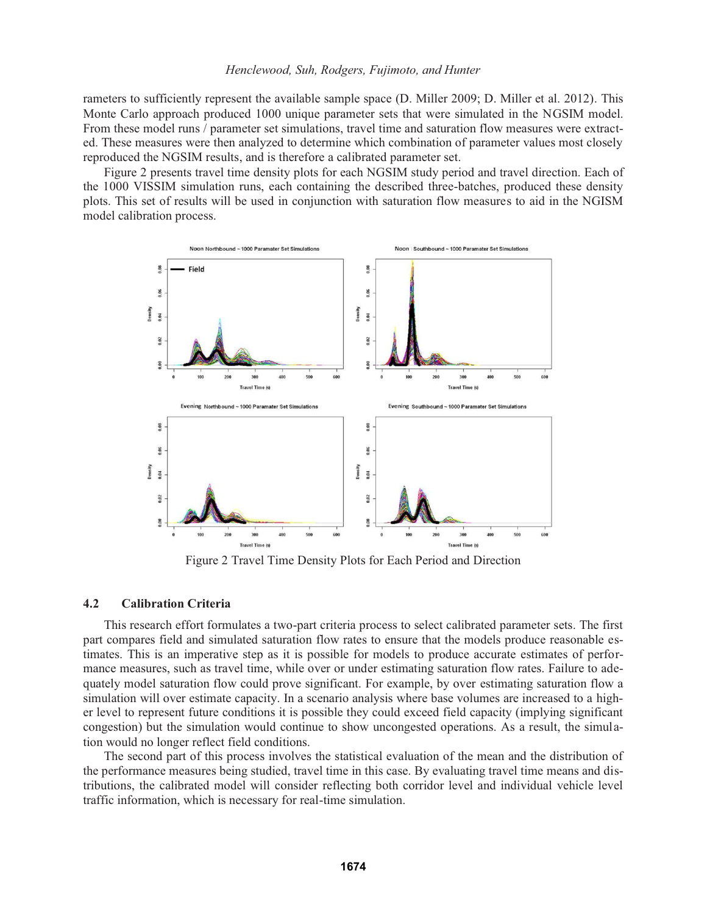rameters to sufficiently represent the available sample space (D. Miller 2009; D. Miller et al. 2012). This Monte Carlo approach produced 1000 unique parameter sets that were simulated in the NGSIM model. From these model runs / parameter set simulations, travel time and saturation flow measures were extracted. These measures were then analyzed to determine which combination of parameter values most closely reproduced the NGSIM results, and is therefore a calibrated parameter set.

Figure 2 presents travel time density plots for each NGSIM study period and travel direction. Each of the 1000 VISSIM simulation runs, each containing the described three-batches, produced these density plots. This set of results will be used in conjunction with saturation flow measures to aid in the NGISM model calibration process.



Figure 2 Travel Time Density Plots for Each Period and Direction

# **4.2 Calibration Criteria**

This research effort formulates a two-part criteria process to select calibrated parameter sets. The first part compares field and simulated saturation flow rates to ensure that the models produce reasonable estimates. This is an imperative step as it is possible for models to produce accurate estimates of performance measures, such as travel time, while over or under estimating saturation flow rates. Failure to adequately model saturation flow could prove significant. For example, by over estimating saturation flow a simulation will over estimate capacity. In a scenario analysis where base volumes are increased to a higher level to represent future conditions it is possible they could exceed field capacity (implying significant congestion) but the simulation would continue to show uncongested operations. As a result, the simulation would no longer reflect field conditions.

The second part of this process involves the statistical evaluation of the mean and the distribution of the performance measures being studied, travel time in this case. By evaluating travel time means and distributions, the calibrated model will consider reflecting both corridor level and individual vehicle level traffic information, which is necessary for real-time simulation.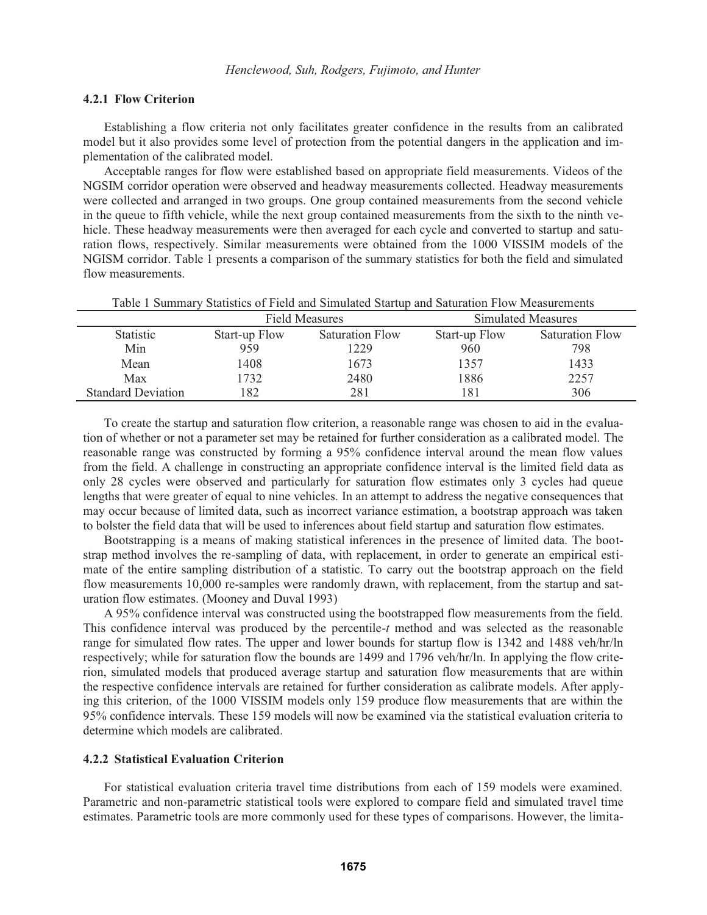### **4.2.1 Flow Criterion**

Establishing a flow criteria not only facilitates greater confidence in the results from an calibrated model but it also provides some level of protection from the potential dangers in the application and implementation of the calibrated model.

Acceptable ranges for flow were established based on appropriate field measurements. Videos of the NGSIM corridor operation were observed and headway measurements collected. Headway measurements were collected and arranged in two groups. One group contained measurements from the second vehicle in the queue to fifth vehicle, while the next group contained measurements from the sixth to the ninth vehicle. These headway measurements were then averaged for each cycle and converted to startup and saturation flows, respectively. Similar measurements were obtained from the 1000 VISSIM models of the NGISM corridor. Table 1 presents a comparison of the summary statistics for both the field and simulated flow measurements.

|                           | <b>Field Measures</b> |                 | Simulated Measures |                        |  |  |
|---------------------------|-----------------------|-----------------|--------------------|------------------------|--|--|
| <b>Statistic</b>          | Start-up Flow         | Saturation Flow | Start-up Flow      | <b>Saturation Flow</b> |  |  |
| Min                       | 959                   | 1229            | 960                | 798                    |  |  |
| Mean                      | 1408                  | 1673            | 1357               | 1433                   |  |  |
| Max                       | 732                   | 2480            | 1886               | 2257                   |  |  |
| <b>Standard Deviation</b> | 182                   | 281             | 181                | 306                    |  |  |

Table 1 Summary Statistics of Field and Simulated Startup and Saturation Flow Measurements

To create the startup and saturation flow criterion, a reasonable range was chosen to aid in the evaluation of whether or not a parameter set may be retained for further consideration as a calibrated model. The reasonable range was constructed by forming a 95% confidence interval around the mean flow values from the field. A challenge in constructing an appropriate confidence interval is the limited field data as only 28 cycles were observed and particularly for saturation flow estimates only 3 cycles had queue lengths that were greater of equal to nine vehicles. In an attempt to address the negative consequences that may occur because of limited data, such as incorrect variance estimation, a bootstrap approach was taken to bolster the field data that will be used to inferences about field startup and saturation flow estimates.

Bootstrapping is a means of making statistical inferences in the presence of limited data. The bootstrap method involves the re-sampling of data, with replacement, in order to generate an empirical estimate of the entire sampling distribution of a statistic. To carry out the bootstrap approach on the field flow measurements 10,000 re-samples were randomly drawn, with replacement, from the startup and saturation flow estimates. (Mooney and Duval 1993)

A 95% confidence interval was constructed using the bootstrapped flow measurements from the field. This confidence interval was produced by the percentile-*t* method and was selected as the reasonable range for simulated flow rates. The upper and lower bounds for startup flow is 1342 and 1488 veh/hr/ln respectively; while for saturation flow the bounds are 1499 and 1796 veh/hr/ln. In applying the flow criterion, simulated models that produced average startup and saturation flow measurements that are within the respective confidence intervals are retained for further consideration as calibrate models. After applying this criterion, of the 1000 VISSIM models only 159 produce flow measurements that are within the 95% confidence intervals. These 159 models will now be examined via the statistical evaluation criteria to determine which models are calibrated.

#### **4.2.2 Statistical Evaluation Criterion**

For statistical evaluation criteria travel time distributions from each of 159 models were examined. Parametric and non-parametric statistical tools were explored to compare field and simulated travel time estimates. Parametric tools are more commonly used for these types of comparisons. However, the limita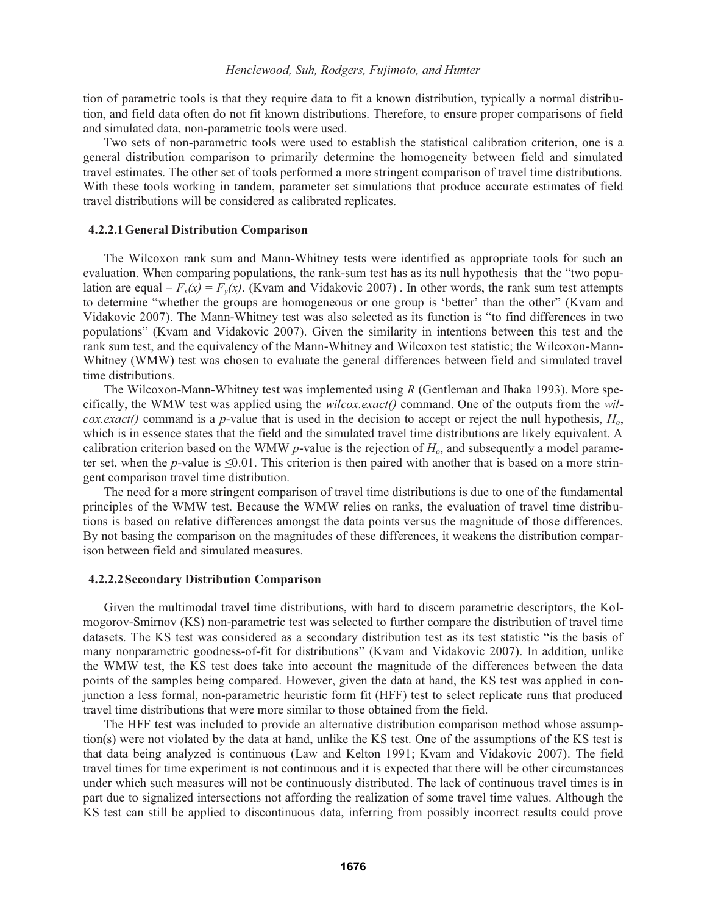tion of parametric tools is that they require data to fit a known distribution, typically a normal distribution, and field data often do not fit known distributions. Therefore, to ensure proper comparisons of field and simulated data, non-parametric tools were used.

Two sets of non-parametric tools were used to establish the statistical calibration criterion, one is a general distribution comparison to primarily determine the homogeneity between field and simulated travel estimates. The other set of tools performed a more stringent comparison of travel time distributions. With these tools working in tandem, parameter set simulations that produce accurate estimates of field travel distributions will be considered as calibrated replicates.

# **4.2.2.1General Distribution Comparison**

The Wilcoxon rank sum and Mann-Whitney tests were identified as appropriate tools for such an evaluation. When comparing populations, the rank-sum test has as its null hypothesis that the "two population are equal –  $F_x(x) = F_y(x)$ . (Kvam and Vidakovic 2007). In other words, the rank sum test attempts to determine "whether the groups are homogeneous or one group is 'better' than the other" (Kvam and Vidakovic 2007). The Mann-Whitney test was also selected as its function is "to find differences in two populations" (Kvam and Vidakovic 2007). Given the similarity in intentions between this test and the rank sum test, and the equivalency of the Mann-Whitney and Wilcoxon test statistic; the Wilcoxon-Mann-Whitney (WMW) test was chosen to evaluate the general differences between field and simulated travel time distributions.

The Wilcoxon-Mann-Whitney test was implemented using *R* (Gentleman and Ihaka 1993). More specifically, the WMW test was applied using the *wilcox.exact()* command. One of the outputs from the *wilcox.exact()* command is a *p*-value that is used in the decision to accept or reject the null hypothesis, *Ho*, which is in essence states that the field and the simulated travel time distributions are likely equivalent. A calibration criterion based on the WMW *p*-value is the rejection of  $H<sub>o</sub>$ , and subsequently a model parameter set, when the *p*-value is  $\leq 0.01$ . This criterion is then paired with another that is based on a more stringent comparison travel time distribution.

The need for a more stringent comparison of travel time distributions is due to one of the fundamental principles of the WMW test. Because the WMW relies on ranks, the evaluation of travel time distributions is based on relative differences amongst the data points versus the magnitude of those differences. By not basing the comparison on the magnitudes of these differences, it weakens the distribution comparison between field and simulated measures.

#### **4.2.2.2Secondary Distribution Comparison**

Given the multimodal travel time distributions, with hard to discern parametric descriptors, the Kolmogorov-Smirnov (KS) non-parametric test was selected to further compare the distribution of travel time datasets. The KS test was considered as a secondary distribution test as its test statistic "is the basis of many nonparametric goodness-of-fit for distributions" (Kvam and Vidakovic 2007). In addition, unlike the WMW test, the KS test does take into account the magnitude of the differences between the data points of the samples being compared. However, given the data at hand, the KS test was applied in conjunction a less formal, non-parametric heuristic form fit (HFF) test to select replicate runs that produced travel time distributions that were more similar to those obtained from the field.

The HFF test was included to provide an alternative distribution comparison method whose assumption(s) were not violated by the data at hand, unlike the KS test. One of the assumptions of the KS test is that data being analyzed is continuous (Law and Kelton 1991; Kvam and Vidakovic 2007). The field travel times for time experiment is not continuous and it is expected that there will be other circumstances under which such measures will not be continuously distributed. The lack of continuous travel times is in part due to signalized intersections not affording the realization of some travel time values. Although the KS test can still be applied to discontinuous data, inferring from possibly incorrect results could prove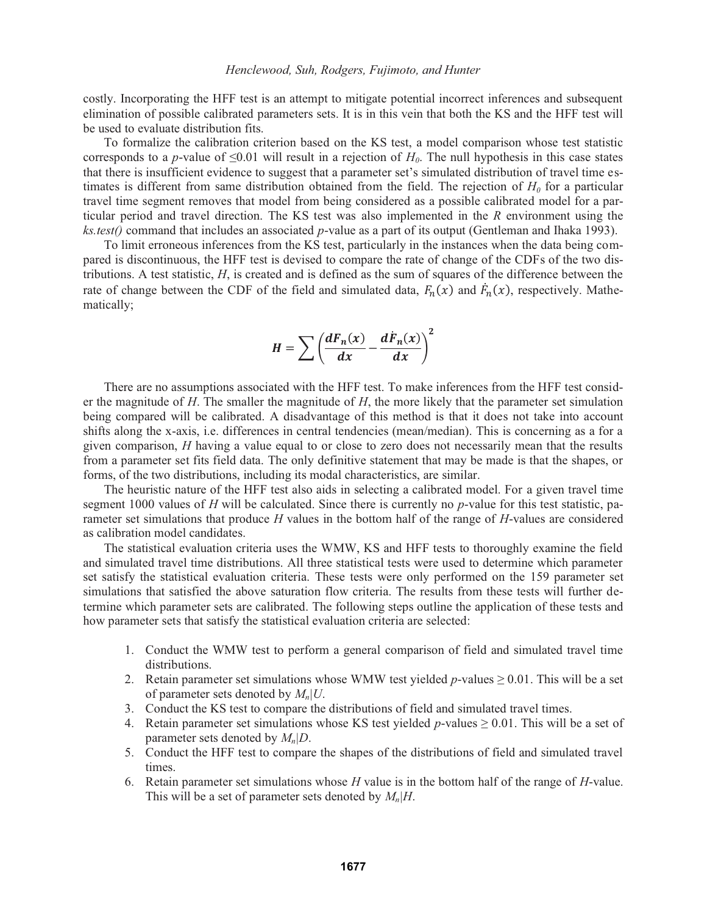costly. Incorporating the HFF test is an attempt to mitigate potential incorrect inferences and subsequent elimination of possible calibrated parameters sets. It is in this vein that both the KS and the HFF test will be used to evaluate distribution fits.

To formalize the calibration criterion based on the KS test, a model comparison whose test statistic corresponds to a *p*-value of  $\leq 0.01$  will result in a rejection of  $H_0$ . The null hypothesis in this case states that there is insufficient evidence to suggest that a parameter set's simulated distribution of travel time estimates is different from same distribution obtained from the field. The rejection of  $H_0$  for a particular travel time segment removes that model from being considered as a possible calibrated model for a particular period and travel direction. The KS test was also implemented in the *R* environment using the *ks.test()* command that includes an associated *p*-value as a part of its output (Gentleman and Ihaka 1993).

To limit erroneous inferences from the KS test, particularly in the instances when the data being compared is discontinuous, the HFF test is devised to compare the rate of change of the CDFs of the two distributions. A test statistic, *H*, is created and is defined as the sum of squares of the difference between the rate of change between the CDF of the field and simulated data,  $F_n(x)$  and  $\bar{F}_n(x)$ , respectively. Mathematically;

$$
H = \sum \left(\frac{dF_n(x)}{dx} - \frac{d\dot{F}_n(x)}{dx}\right)^2
$$

There are no assumptions associated with the HFF test. To make inferences from the HFF test consider the magnitude of *H*. The smaller the magnitude of *H*, the more likely that the parameter set simulation being compared will be calibrated. A disadvantage of this method is that it does not take into account shifts along the x-axis, i.e. differences in central tendencies (mean/median). This is concerning as a for a given comparison, *H* having a value equal to or close to zero does not necessarily mean that the results from a parameter set fits field data. The only definitive statement that may be made is that the shapes, or forms, of the two distributions, including its modal characteristics, are similar.

The heuristic nature of the HFF test also aids in selecting a calibrated model. For a given travel time segment 1000 values of *H* will be calculated. Since there is currently no *p*-value for this test statistic, parameter set simulations that produce *H* values in the bottom half of the range of *H*-values are considered as calibration model candidates.

The statistical evaluation criteria uses the WMW, KS and HFF tests to thoroughly examine the field and simulated travel time distributions. All three statistical tests were used to determine which parameter set satisfy the statistical evaluation criteria. These tests were only performed on the 159 parameter set simulations that satisfied the above saturation flow criteria. The results from these tests will further determine which parameter sets are calibrated. The following steps outline the application of these tests and how parameter sets that satisfy the statistical evaluation criteria are selected:

- 1. Conduct the WMW test to perform a general comparison of field and simulated travel time distributions.
- 2. Retain parameter set simulations whose WMW test yielded *p*-values  $\geq$  0.01. This will be a set of parameter sets denoted by *Mn|U*.
- 3. Conduct the KS test to compare the distributions of field and simulated travel times.
- 4. Retain parameter set simulations whose KS test yielded  $p$ -values  $\geq 0.01$ . This will be a set of parameter sets denoted by *Mn|D*.
- 5. Conduct the HFF test to compare the shapes of the distributions of field and simulated travel times.
- 6. Retain parameter set simulations whose *H* value is in the bottom half of the range of *H*-value. This will be a set of parameter sets denoted by  $M_n|H$ .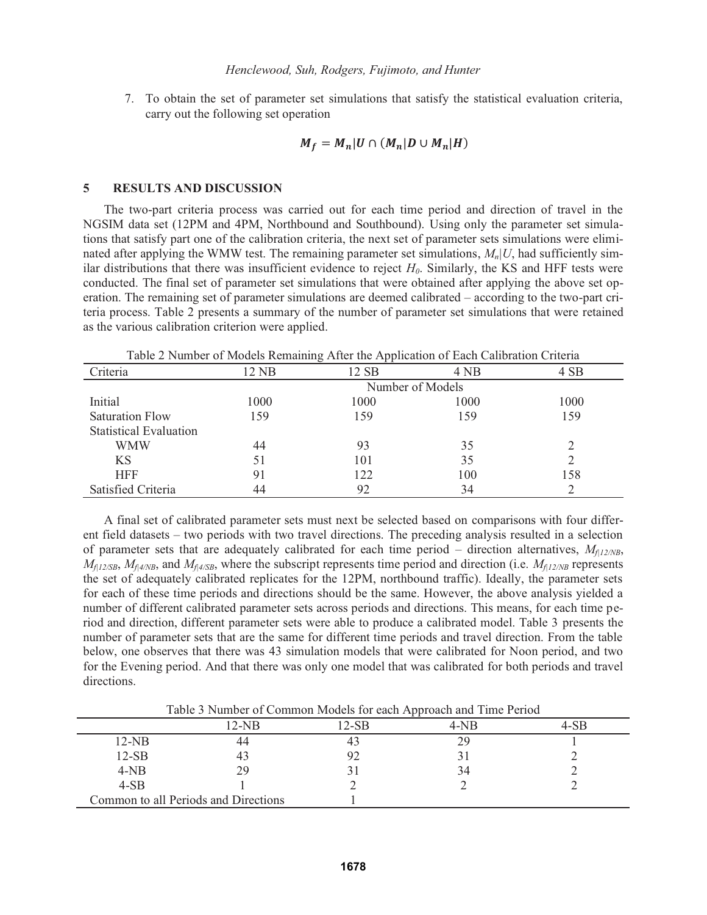7. To obtain the set of parameter set simulations that satisfy the statistical evaluation criteria, carry out the following set operation

$$
M_f = M_n | U \cap (M_n | D \cup M_n | H)
$$

#### **5 RESULTS AND DISCUSSION**

The two-part criteria process was carried out for each time period and direction of travel in the NGSIM data set (12PM and 4PM, Northbound and Southbound). Using only the parameter set simulations that satisfy part one of the calibration criteria, the next set of parameter sets simulations were eliminated after applying the WMW test. The remaining parameter set simulations, *Mn|U*, had sufficiently similar distributions that there was insufficient evidence to reject  $H_0$ . Similarly, the KS and HFF tests were conducted. The final set of parameter set simulations that were obtained after applying the above set operation. The remaining set of parameter simulations are deemed calibrated – according to the two-part criteria process. Table 2 presents a summary of the number of parameter set simulations that were retained as the various calibration criterion were applied.

| Criteria                      | $2$ NB           | ↩<br>12 SB | 4 NB | 4 SB |  |
|-------------------------------|------------------|------------|------|------|--|
|                               |                  |            |      |      |  |
|                               | Number of Models |            |      |      |  |
| Initial                       | 1000             | 1000       | 1000 | 1000 |  |
| <b>Saturation Flow</b>        | 159              | 159        | 159  | 159  |  |
| <b>Statistical Evaluation</b> |                  |            |      |      |  |
| <b>WMW</b>                    | 44               | 93         | 35   |      |  |
| <b>KS</b>                     | 51               | 101        | 35   |      |  |
| <b>HFF</b>                    | 91               | 122        | 100  | 158  |  |
| Satisfied Criteria            | 44               | 92         | 34   |      |  |

Table 2 Number of Models Remaining After the Application of Each Calibration Criteria

A final set of calibrated parameter sets must next be selected based on comparisons with four different field datasets – two periods with two travel directions. The preceding analysis resulted in a selection of parameter sets that are adequately calibrated for each time period – direction alternatives,  $M_{f12/NB}$ ,  $M_{f12/SB}$ ,  $M_{f14/NB}$ , and  $M_{f14/SB}$ , where the subscript represents time period and direction (i.e.  $M_{f12/NB}$  represents the set of adequately calibrated replicates for the 12PM, northbound traffic). Ideally, the parameter sets for each of these time periods and directions should be the same. However, the above analysis yielded a number of different calibrated parameter sets across periods and directions. This means, for each time period and direction, different parameter sets were able to produce a calibrated model. Table 3 presents the number of parameter sets that are the same for different time periods and travel direction. From the table below, one observes that there was 43 simulation models that were calibrated for Noon period, and two for the Evening period. And that there was only one model that was calibrated for both periods and travel directions.

Table 3 Number of Common Models for each Approach and Time Period

|                                      | $12-NB$ | l 2-SB | $4-NB$ |  |
|--------------------------------------|---------|--------|--------|--|
| $12-NB$                              | 44      |        | 29     |  |
| $12-SB$                              | 43      |        |        |  |
| $4-NB$                               | 29      |        | 34     |  |
| $4-SB$                               |         |        |        |  |
| Common to all Periods and Directions |         |        |        |  |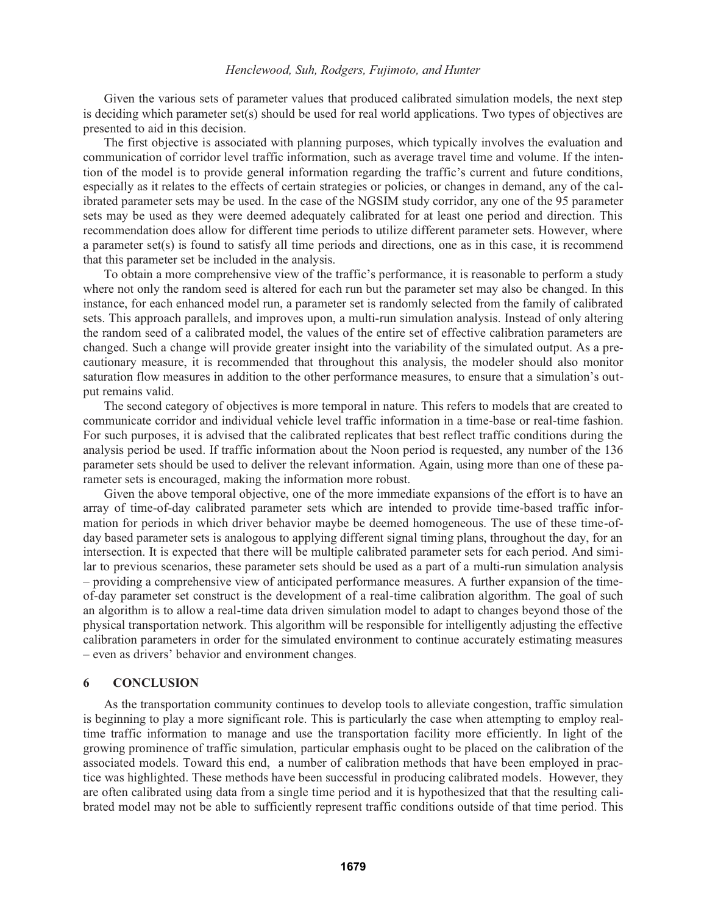# *Henclewood, Suh, Rodgers, Fujimoto, and Hunter*

Given the various sets of parameter values that produced calibrated simulation models, the next step is deciding which parameter set(s) should be used for real world applications. Two types of objectives are presented to aid in this decision.

The first objective is associated with planning purposes, which typically involves the evaluation and communication of corridor level traffic information, such as average travel time and volume. If the intention of the model is to provide general information regarding the traffic's current and future conditions, especially as it relates to the effects of certain strategies or policies, or changes in demand, any of the calibrated parameter sets may be used. In the case of the NGSIM study corridor, any one of the 95 parameter sets may be used as they were deemed adequately calibrated for at least one period and direction. This recommendation does allow for different time periods to utilize different parameter sets. However, where a parameter set(s) is found to satisfy all time periods and directions, one as in this case, it is recommend that this parameter set be included in the analysis.

To obtain a more comprehensive view of the traffic's performance, it is reasonable to perform a study where not only the random seed is altered for each run but the parameter set may also be changed. In this instance, for each enhanced model run, a parameter set is randomly selected from the family of calibrated sets. This approach parallels, and improves upon, a multi-run simulation analysis. Instead of only altering the random seed of a calibrated model, the values of the entire set of effective calibration parameters are changed. Such a change will provide greater insight into the variability of the simulated output. As a precautionary measure, it is recommended that throughout this analysis, the modeler should also monitor saturation flow measures in addition to the other performance measures, to ensure that a simulation's output remains valid.

The second category of objectives is more temporal in nature. This refers to models that are created to communicate corridor and individual vehicle level traffic information in a time-base or real-time fashion. For such purposes, it is advised that the calibrated replicates that best reflect traffic conditions during the analysis period be used. If traffic information about the Noon period is requested, any number of the 136 parameter sets should be used to deliver the relevant information. Again, using more than one of these parameter sets is encouraged, making the information more robust.

Given the above temporal objective, one of the more immediate expansions of the effort is to have an array of time-of-day calibrated parameter sets which are intended to provide time-based traffic information for periods in which driver behavior maybe be deemed homogeneous. The use of these time-ofday based parameter sets is analogous to applying different signal timing plans, throughout the day, for an intersection. It is expected that there will be multiple calibrated parameter sets for each period. And similar to previous scenarios, these parameter sets should be used as a part of a multi-run simulation analysis – providing a comprehensive view of anticipated performance measures. A further expansion of the timeof-day parameter set construct is the development of a real-time calibration algorithm. The goal of such an algorithm is to allow a real-time data driven simulation model to adapt to changes beyond those of the physical transportation network. This algorithm will be responsible for intelligently adjusting the effective calibration parameters in order for the simulated environment to continue accurately estimating measures – even as drivers' behavior and environment changes.

# **6 CONCLUSION**

As the transportation community continues to develop tools to alleviate congestion, traffic simulation is beginning to play a more significant role. This is particularly the case when attempting to employ realtime traffic information to manage and use the transportation facility more efficiently. In light of the growing prominence of traffic simulation, particular emphasis ought to be placed on the calibration of the associated models. Toward this end, a number of calibration methods that have been employed in practice was highlighted. These methods have been successful in producing calibrated models. However, they are often calibrated using data from a single time period and it is hypothesized that that the resulting calibrated model may not be able to sufficiently represent traffic conditions outside of that time period. This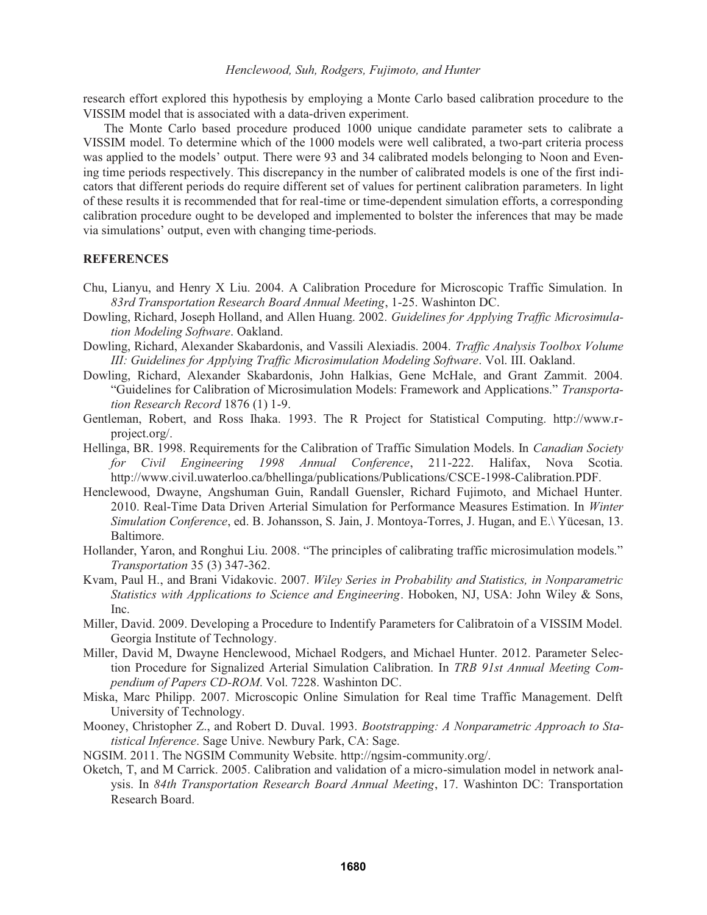research effort explored this hypothesis by employing a Monte Carlo based calibration procedure to the VISSIM model that is associated with a data-driven experiment.

The Monte Carlo based procedure produced 1000 unique candidate parameter sets to calibrate a VISSIM model. To determine which of the 1000 models were well calibrated, a two-part criteria process was applied to the models' output. There were 93 and 34 calibrated models belonging to Noon and Evening time periods respectively. This discrepancy in the number of calibrated models is one of the first indicators that different periods do require different set of values for pertinent calibration parameters. In light of these results it is recommended that for real-time or time-dependent simulation efforts, a corresponding calibration procedure ought to be developed and implemented to bolster the inferences that may be made via simulations' output, even with changing time-periods.

#### **REFERENCES**

- Chu, Lianyu, and Henry X Liu. 2004. A Calibration Procedure for Microscopic Traffic Simulation. In *83rd Transportation Research Board Annual Meeting*, 1-25. Washinton DC.
- Dowling, Richard, Joseph Holland, and Allen Huang. 2002. *Guidelines for Applying Traffic Microsimulation Modeling Software*. Oakland.
- Dowling, Richard, Alexander Skabardonis, and Vassili Alexiadis. 2004. *Traffic Analysis Toolbox Volume III: Guidelines for Applying Traffic Microsimulation Modeling Software*. Vol. III. Oakland.
- Dowling, Richard, Alexander Skabardonis, John Halkias, Gene McHale, and Grant Zammit. 2004. "Guidelines for Calibration of Microsimulation Models: Framework and Applications." *Transportation Research Record* 1876 (1) 1-9.
- Gentleman, Robert, and Ross Ihaka. 1993. The R Project for Statistical Computing. http://www.rproject.org/.
- Hellinga, BR. 1998. Requirements for the Calibration of Traffic Simulation Models. In *Canadian Society for Civil Engineering 1998 Annual Conference*, 211-222. Halifax, Nova Scotia. http://www.civil.uwaterloo.ca/bhellinga/publications/Publications/CSCE-1998-Calibration.PDF.
- Henclewood, Dwayne, Angshuman Guin, Randall Guensler, Richard Fujimoto, and Michael Hunter. 2010. Real-Time Data Driven Arterial Simulation for Performance Measures Estimation. In *Winter Simulation Conference*, ed. B. Johansson, S. Jain, J. Montoya-Torres, J. Hugan, and E.\ Yücesan, 13. Baltimore.
- Hollander, Yaron, and Ronghui Liu. 2008. "The principles of calibrating traffic microsimulation models." *Transportation* 35 (3) 347-362.
- Kvam, Paul H., and Brani Vidakovic. 2007. *Wiley Series in Probability and Statistics, in Nonparametric Statistics with Applications to Science and Engineering*. Hoboken, NJ, USA: John Wiley & Sons, Inc.
- Miller, David. 2009. Developing a Procedure to Indentify Parameters for Calibratoin of a VISSIM Model. Georgia Institute of Technology.
- Miller, David M, Dwayne Henclewood, Michael Rodgers, and Michael Hunter. 2012. Parameter Selection Procedure for Signalized Arterial Simulation Calibration. In *TRB 91st Annual Meeting Compendium of Papers CD-ROM*. Vol. 7228. Washinton DC.
- Miska, Marc Philipp. 2007. Microscopic Online Simulation for Real time Traffic Management. Delft University of Technology.
- Mooney, Christopher Z., and Robert D. Duval. 1993. *Bootstrapping: A Nonparametric Approach to Statistical Inference*. Sage Unive. Newbury Park, CA: Sage.
- NGSIM. 2011. The NGSIM Community Website. http://ngsim-community.org/.
- Oketch, T, and M Carrick. 2005. Calibration and validation of a micro-simulation model in network analysis. In *84th Transportation Research Board Annual Meeting*, 17. Washinton DC: Transportation Research Board.